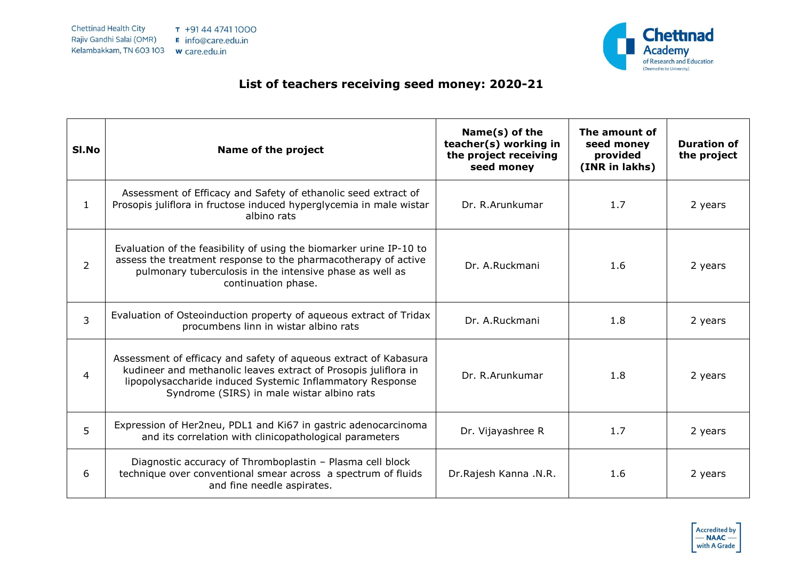

## **List of teachers receiving seed money: 2020-21**

| SI.No          | Name of the project                                                                                                                                                                                                                            | Name(s) of the<br>teacher(s) working in<br>the project receiving<br>seed money | The amount of<br>seed money<br>provided<br>(INR in lakhs) | <b>Duration of</b><br>the project |
|----------------|------------------------------------------------------------------------------------------------------------------------------------------------------------------------------------------------------------------------------------------------|--------------------------------------------------------------------------------|-----------------------------------------------------------|-----------------------------------|
| $\mathbf{1}$   | Assessment of Efficacy and Safety of ethanolic seed extract of<br>Prosopis juliflora in fructose induced hyperglycemia in male wistar<br>albino rats                                                                                           | Dr. R.Arunkumar                                                                | 1.7                                                       | 2 years                           |
| $\overline{2}$ | Evaluation of the feasibility of using the biomarker urine IP-10 to<br>assess the treatment response to the pharmacotherapy of active<br>pulmonary tuberculosis in the intensive phase as well as<br>continuation phase.                       | Dr. A.Ruckmani                                                                 | 1.6                                                       | 2 years                           |
| 3              | Evaluation of Osteoinduction property of aqueous extract of Tridax<br>procumbens linn in wistar albino rats                                                                                                                                    | Dr. A.Ruckmani                                                                 | 1.8                                                       | 2 years                           |
| 4              | Assessment of efficacy and safety of aqueous extract of Kabasura<br>kudineer and methanolic leaves extract of Prosopis juliflora in<br>lipopolysaccharide induced Systemic Inflammatory Response<br>Syndrome (SIRS) in male wistar albino rats | Dr. R.Arunkumar                                                                | 1.8                                                       | 2 years                           |
| 5              | Expression of Her2neu, PDL1 and Ki67 in gastric adenocarcinoma<br>and its correlation with clinicopathological parameters                                                                                                                      | Dr. Vijayashree R                                                              | 1.7                                                       | 2 years                           |
| 6              | Diagnostic accuracy of Thromboplastin - Plasma cell block<br>technique over conventional smear across a spectrum of fluids<br>and fine needle aspirates.                                                                                       | Dr.Rajesh Kanna .N.R.                                                          | 1.6                                                       | 2 years                           |

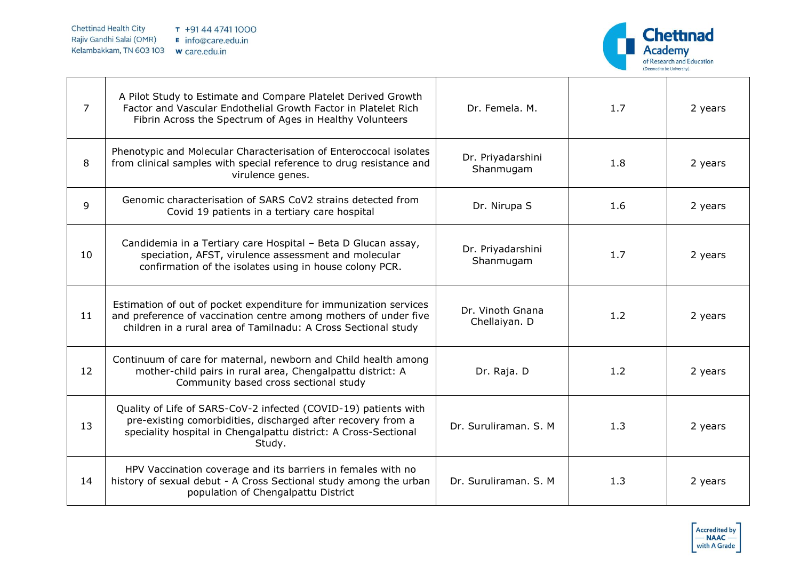

| $\overline{7}$ | A Pilot Study to Estimate and Compare Platelet Derived Growth<br>Factor and Vascular Endothelial Growth Factor in Platelet Rich<br>Fibrin Across the Spectrum of Ages in Healthy Volunteers                  | Dr. Femela, M.                    | 1.7 | 2 years |
|----------------|--------------------------------------------------------------------------------------------------------------------------------------------------------------------------------------------------------------|-----------------------------------|-----|---------|
| 8              | Phenotypic and Molecular Characterisation of Enteroccocal isolates<br>from clinical samples with special reference to drug resistance and<br>virulence genes.                                                | Dr. Priyadarshini<br>Shanmugam    | 1.8 | 2 years |
| 9              | Genomic characterisation of SARS CoV2 strains detected from<br>Covid 19 patients in a tertiary care hospital                                                                                                 | Dr. Nirupa S                      | 1.6 | 2 years |
| 10             | Candidemia in a Tertiary care Hospital - Beta D Glucan assay,<br>speciation, AFST, virulence assessment and molecular<br>confirmation of the isolates using in house colony PCR.                             | Dr. Priyadarshini<br>Shanmugam    | 1.7 | 2 years |
| 11             | Estimation of out of pocket expenditure for immunization services<br>and preference of vaccination centre among mothers of under five<br>children in a rural area of Tamilnadu: A Cross Sectional study      | Dr. Vinoth Gnana<br>Chellaiyan. D | 1.2 | 2 years |
| 12             | Continuum of care for maternal, newborn and Child health among<br>mother-child pairs in rural area, Chengalpattu district: A<br>Community based cross sectional study                                        | Dr. Raja. D                       | 1.2 | 2 years |
| 13             | Quality of Life of SARS-CoV-2 infected (COVID-19) patients with<br>pre-existing comorbidities, discharged after recovery from a<br>speciality hospital in Chengalpattu district: A Cross-Sectional<br>Study. | Dr. Suruliraman, S. M.            | 1.3 | 2 years |
| 14             | HPV Vaccination coverage and its barriers in females with no<br>history of sexual debut - A Cross Sectional study among the urban<br>population of Chengalpattu District                                     | Dr. Suruliraman, S. M.            | 1.3 | 2 years |

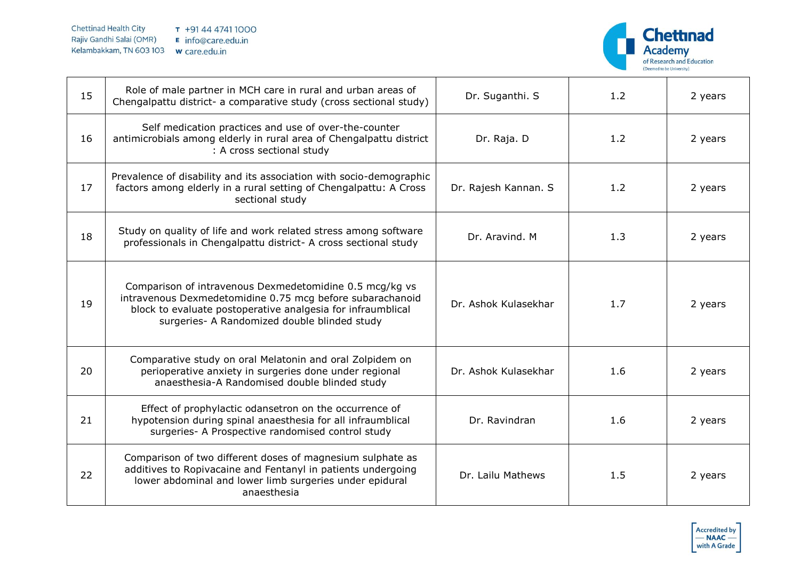

| 15 | Role of male partner in MCH care in rural and urban areas of<br>Chengalpattu district- a comparative study (cross sectional study)                                                                                                  | Dr. Suganthi. S      | 1.2 | 2 years |
|----|-------------------------------------------------------------------------------------------------------------------------------------------------------------------------------------------------------------------------------------|----------------------|-----|---------|
| 16 | Self medication practices and use of over-the-counter<br>antimicrobials among elderly in rural area of Chengalpattu district<br>: A cross sectional study                                                                           | Dr. Raja. D          | 1.2 | 2 years |
| 17 | Prevalence of disability and its association with socio-demographic<br>factors among elderly in a rural setting of Chengalpattu: A Cross<br>sectional study                                                                         | Dr. Rajesh Kannan. S | 1.2 | 2 years |
| 18 | Study on quality of life and work related stress among software<br>professionals in Chengalpattu district- A cross sectional study                                                                                                  | Dr. Aravind. M       | 1.3 | 2 years |
| 19 | Comparison of intravenous Dexmedetomidine 0.5 mcg/kg vs<br>intravenous Dexmedetomidine 0.75 mcg before subarachanoid<br>block to evaluate postoperative analgesia for infraumblical<br>surgeries- A Randomized double blinded study | Dr. Ashok Kulasekhar | 1.7 | 2 years |
| 20 | Comparative study on oral Melatonin and oral Zolpidem on<br>perioperative anxiety in surgeries done under regional<br>anaesthesia-A Randomised double blinded study                                                                 | Dr. Ashok Kulasekhar | 1.6 | 2 years |
| 21 | Effect of prophylactic odansetron on the occurrence of<br>hypotension during spinal anaesthesia for all infraumblical<br>surgeries- A Prospective randomised control study                                                          | Dr. Ravindran        | 1.6 | 2 years |
| 22 | Comparison of two different doses of magnesium sulphate as<br>additives to Ropivacaine and Fentanyl in patients undergoing<br>lower abdominal and lower limb surgeries under epidural<br>anaesthesia                                | Dr. Lailu Mathews    | 1.5 | 2 years |

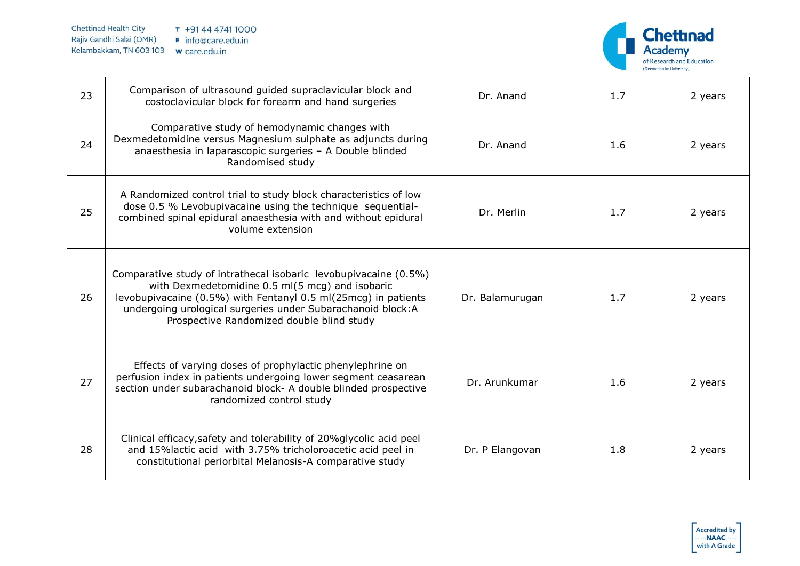

| 23 | Comparison of ultrasound guided supraclavicular block and<br>costoclavicular block for forearm and hand surgeries                                                                                                                                                                                  | Dr. Anand       | 1.7 | 2 years |
|----|----------------------------------------------------------------------------------------------------------------------------------------------------------------------------------------------------------------------------------------------------------------------------------------------------|-----------------|-----|---------|
| 24 | Comparative study of hemodynamic changes with<br>Dexmedetomidine versus Magnesium sulphate as adjuncts during<br>anaesthesia in laparascopic surgeries - A Double blinded<br>Randomised study                                                                                                      | Dr. Anand       | 1.6 | 2 years |
| 25 | A Randomized control trial to study block characteristics of low<br>dose 0.5 % Levobupivacaine using the technique sequential-<br>combined spinal epidural anaesthesia with and without epidural<br>volume extension                                                                               | Dr. Merlin      | 1.7 | 2 years |
| 26 | Comparative study of intrathecal isobaric levobupivacaine (0.5%)<br>with Dexmedetomidine 0.5 ml(5 mcg) and isobaric<br>levobupivacaine (0.5%) with Fentanyl 0.5 ml(25mcg) in patients<br>undergoing urological surgeries under Subarachanoid block: A<br>Prospective Randomized double blind study | Dr. Balamurugan | 1.7 | 2 years |
| 27 | Effects of varying doses of prophylactic phenylephrine on<br>perfusion index in patients undergoing lower segment ceasarean<br>section under subarachanoid block- A double blinded prospective<br>randomized control study                                                                         | Dr. Arunkumar   | 1.6 | 2 years |
| 28 | Clinical efficacy, safety and tolerability of 20% glycolic acid peel<br>and 15%lactic acid with 3.75% tricholoroacetic acid peel in<br>constitutional periorbital Melanosis-A comparative study                                                                                                    | Dr. P Elangovan | 1.8 | 2 years |

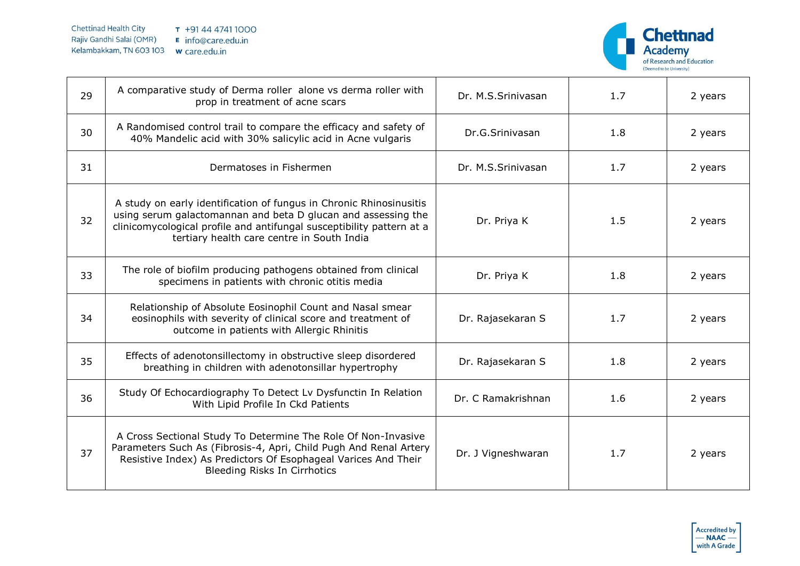

| 29 | A comparative study of Derma roller alone vs derma roller with<br>prop in treatment of acne scars                                                                                                                                                           | Dr. M.S.Srinivasan | 1.7 | 2 years |
|----|-------------------------------------------------------------------------------------------------------------------------------------------------------------------------------------------------------------------------------------------------------------|--------------------|-----|---------|
| 30 | A Randomised control trail to compare the efficacy and safety of<br>40% Mandelic acid with 30% salicylic acid in Acne vulgaris                                                                                                                              | Dr.G.Srinivasan    | 1.8 | 2 years |
| 31 | Dermatoses in Fishermen                                                                                                                                                                                                                                     | Dr. M.S.Srinivasan | 1.7 | 2 years |
| 32 | A study on early identification of fungus in Chronic Rhinosinusitis<br>using serum galactomannan and beta D glucan and assessing the<br>clinicomycological profile and antifungal susceptibility pattern at a<br>tertiary health care centre in South India | Dr. Priya K        | 1.5 | 2 years |
| 33 | The role of biofilm producing pathogens obtained from clinical<br>specimens in patients with chronic otitis media                                                                                                                                           | Dr. Priya K        | 1.8 | 2 years |
| 34 | Relationship of Absolute Eosinophil Count and Nasal smear<br>eosinophils with severity of clinical score and treatment of<br>outcome in patients with Allergic Rhinitis                                                                                     | Dr. Rajasekaran S  | 1.7 | 2 years |
| 35 | Effects of adenotonsillectomy in obstructive sleep disordered<br>breathing in children with adenotonsillar hypertrophy                                                                                                                                      | Dr. Rajasekaran S  | 1.8 | 2 years |
| 36 | Study Of Echocardiography To Detect Lv Dysfunctin In Relation<br>With Lipid Profile In Ckd Patients                                                                                                                                                         | Dr. C Ramakrishnan | 1.6 | 2 years |
| 37 | A Cross Sectional Study To Determine The Role Of Non-Invasive<br>Parameters Such As (Fibrosis-4, Apri, Child Pugh And Renal Artery<br>Resistive Index) As Predictors Of Esophageal Varices And Their<br><b>Bleeding Risks In Cirrhotics</b>                 | Dr. J Vigneshwaran | 1.7 | 2 years |

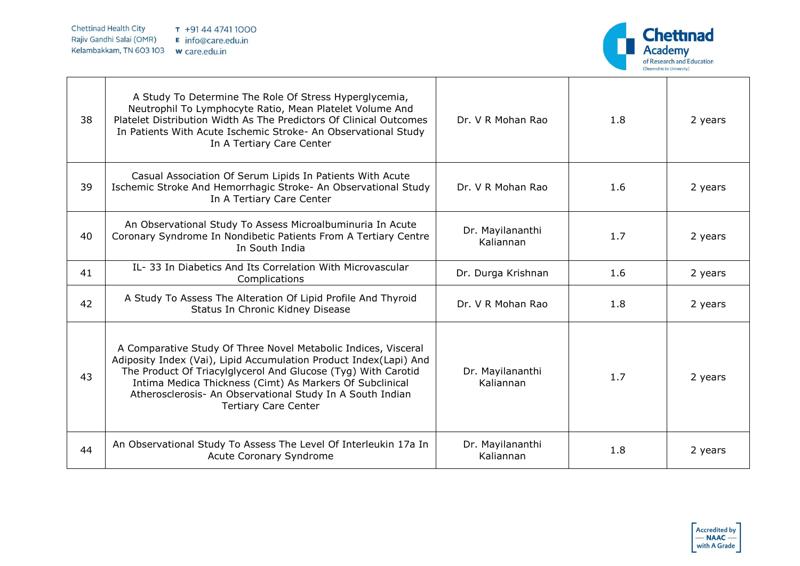

| 38 | A Study To Determine The Role Of Stress Hyperglycemia,<br>Neutrophil To Lymphocyte Ratio, Mean Platelet Volume And<br>Platelet Distribution Width As The Predictors Of Clinical Outcomes<br>In Patients With Acute Ischemic Stroke- An Observational Study<br>In A Tertiary Care Center                                                                      | Dr. V R Mohan Rao             | 1.8 | 2 years |
|----|--------------------------------------------------------------------------------------------------------------------------------------------------------------------------------------------------------------------------------------------------------------------------------------------------------------------------------------------------------------|-------------------------------|-----|---------|
| 39 | Casual Association Of Serum Lipids In Patients With Acute<br>Ischemic Stroke And Hemorrhagic Stroke- An Observational Study<br>In A Tertiary Care Center                                                                                                                                                                                                     | Dr. V R Mohan Rao             | 1.6 | 2 years |
| 40 | An Observational Study To Assess Microalbuminuria In Acute<br>Coronary Syndrome In Nondibetic Patients From A Tertiary Centre<br>In South India                                                                                                                                                                                                              | Dr. Mayilananthi<br>Kaliannan | 1.7 | 2 years |
| 41 | IL-33 In Diabetics And Its Correlation With Microvascular<br>Complications                                                                                                                                                                                                                                                                                   | Dr. Durga Krishnan            | 1.6 | 2 years |
| 42 | A Study To Assess The Alteration Of Lipid Profile And Thyroid<br>Status In Chronic Kidney Disease                                                                                                                                                                                                                                                            | Dr. V R Mohan Rao             | 1.8 | 2 years |
| 43 | A Comparative Study Of Three Novel Metabolic Indices, Visceral<br>Adiposity Index (Vai), Lipid Accumulation Product Index(Lapi) And<br>The Product Of Triacylglycerol And Glucose (Tyg) With Carotid<br>Intima Medica Thickness (Cimt) As Markers Of Subclinical<br>Atherosclerosis- An Observational Study In A South Indian<br><b>Tertiary Care Center</b> | Dr. Mayilananthi<br>Kaliannan | 1.7 | 2 years |
| 44 | An Observational Study To Assess The Level Of Interleukin 17a In<br>Acute Coronary Syndrome                                                                                                                                                                                                                                                                  | Dr. Mayilananthi<br>Kaliannan | 1.8 | 2 years |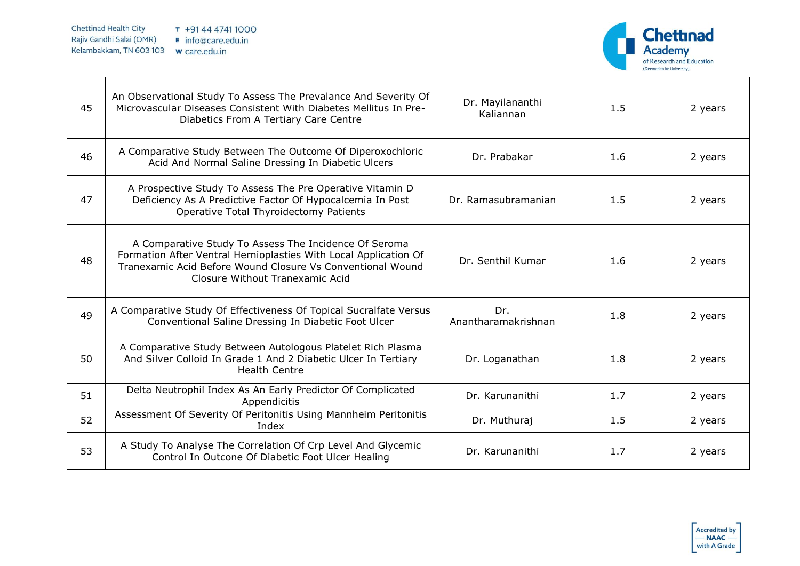

| 45 | An Observational Study To Assess The Prevalance And Severity Of<br>Microvascular Diseases Consistent With Diabetes Mellitus In Pre-<br>Diabetics From A Tertiary Care Centre                                               | Dr. Mayilananthi<br>Kaliannan | 1.5 | 2 years |
|----|----------------------------------------------------------------------------------------------------------------------------------------------------------------------------------------------------------------------------|-------------------------------|-----|---------|
| 46 | A Comparative Study Between The Outcome Of Diperoxochloric<br>Acid And Normal Saline Dressing In Diabetic Ulcers                                                                                                           | Dr. Prabakar                  | 1.6 | 2 years |
| 47 | A Prospective Study To Assess The Pre Operative Vitamin D<br>Deficiency As A Predictive Factor Of Hypocalcemia In Post<br>Operative Total Thyroidectomy Patients                                                           | Dr. Ramasubramanian           | 1.5 | 2 years |
| 48 | A Comparative Study To Assess The Incidence Of Seroma<br>Formation After Ventral Hernioplasties With Local Application Of<br>Tranexamic Acid Before Wound Closure Vs Conventional Wound<br>Closure Without Tranexamic Acid | Dr. Senthil Kumar             | 1.6 | 2 years |
| 49 | A Comparative Study Of Effectiveness Of Topical Sucralfate Versus<br>Conventional Saline Dressing In Diabetic Foot Ulcer                                                                                                   | Dr.<br>Anantharamakrishnan    | 1.8 | 2 years |
| 50 | A Comparative Study Between Autologous Platelet Rich Plasma<br>And Silver Colloid In Grade 1 And 2 Diabetic Ulcer In Tertiary<br><b>Health Centre</b>                                                                      | Dr. Loganathan                | 1.8 | 2 years |
| 51 | Delta Neutrophil Index As An Early Predictor Of Complicated<br>Appendicitis                                                                                                                                                | Dr. Karunanithi               | 1.7 | 2 years |
| 52 | Assessment Of Severity Of Peritonitis Using Mannheim Peritonitis<br>Index                                                                                                                                                  | Dr. Muthuraj                  | 1.5 | 2 years |
| 53 | A Study To Analyse The Correlation Of Crp Level And Glycemic<br>Control In Outcone Of Diabetic Foot Ulcer Healing                                                                                                          | Dr. Karunanithi               | 1.7 | 2 years |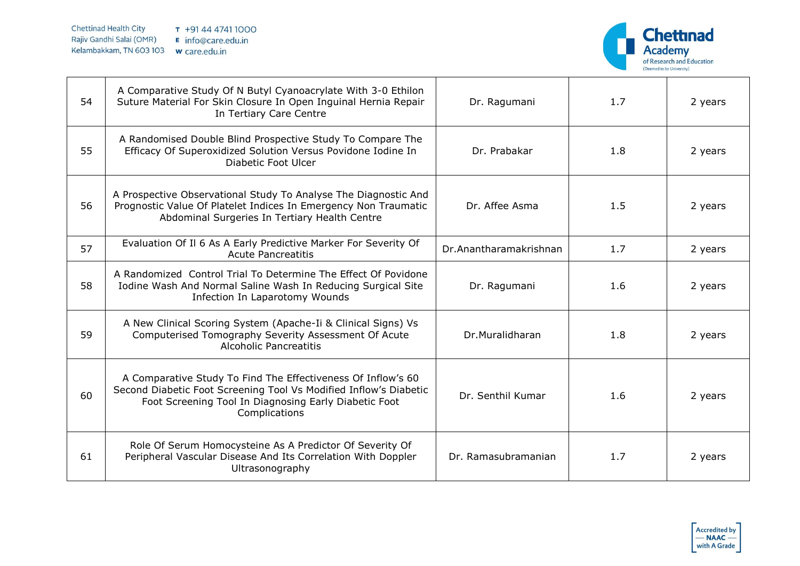

| 54 | A Comparative Study Of N Butyl Cyanoacrylate With 3-0 Ethilon<br>Suture Material For Skin Closure In Open Inguinal Hernia Repair<br>In Tertiary Care Centre                                                 | Dr. Ragumani           | 1.7 | 2 years |
|----|-------------------------------------------------------------------------------------------------------------------------------------------------------------------------------------------------------------|------------------------|-----|---------|
| 55 | A Randomised Double Blind Prospective Study To Compare The<br>Efficacy Of Superoxidized Solution Versus Povidone Iodine In<br><b>Diabetic Foot Ulcer</b>                                                    | Dr. Prabakar           | 1.8 | 2 years |
| 56 | A Prospective Observational Study To Analyse The Diagnostic And<br>Prognostic Value Of Platelet Indices In Emergency Non Traumatic<br>Abdominal Surgeries In Tertiary Health Centre                         | Dr. Affee Asma         | 1.5 | 2 years |
| 57 | Evaluation Of Il 6 As A Early Predictive Marker For Severity Of<br><b>Acute Pancreatitis</b>                                                                                                                | Dr.Anantharamakrishnan | 1.7 | 2 years |
| 58 | A Randomized Control Trial To Determine The Effect Of Povidone<br>Iodine Wash And Normal Saline Wash In Reducing Surgical Site<br>Infection In Laparotomy Wounds                                            | Dr. Ragumani           | 1.6 | 2 years |
| 59 | A New Clinical Scoring System (Apache-Ii & Clinical Signs) Vs<br>Computerised Tomography Severity Assessment Of Acute<br><b>Alcoholic Pancreatitis</b>                                                      | Dr.Muralidharan        | 1.8 | 2 years |
| 60 | A Comparative Study To Find The Effectiveness Of Inflow's 60<br>Second Diabetic Foot Screening Tool Vs Modified Inflow's Diabetic<br>Foot Screening Tool In Diagnosing Early Diabetic Foot<br>Complications | Dr. Senthil Kumar      | 1.6 | 2 years |
| 61 | Role Of Serum Homocysteine As A Predictor Of Severity Of<br>Peripheral Vascular Disease And Its Correlation With Doppler<br>Ultrasonography                                                                 | Dr. Ramasubramanian    | 1.7 | 2 years |

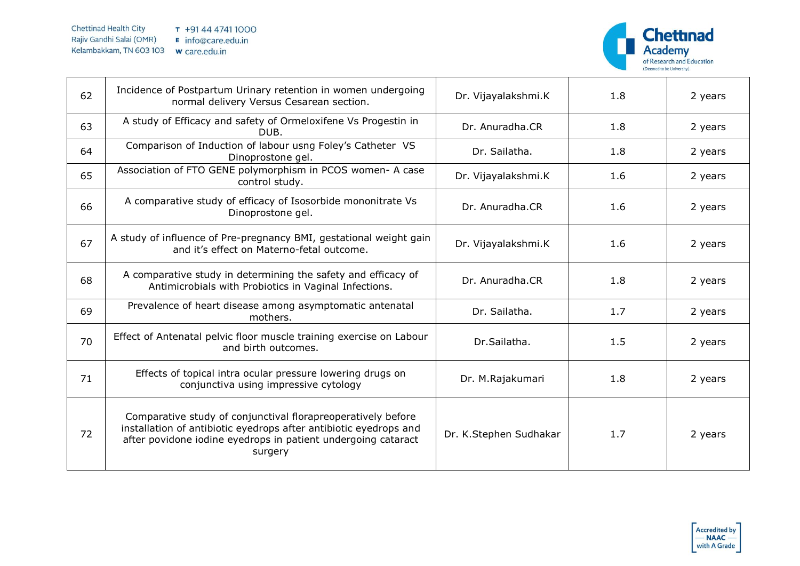

| 62 | Incidence of Postpartum Urinary retention in women undergoing<br>normal delivery Versus Cesarean section.                                                                                                     | Dr. Vijayalakshmi.K    | 1.8 | 2 years |
|----|---------------------------------------------------------------------------------------------------------------------------------------------------------------------------------------------------------------|------------------------|-----|---------|
| 63 | A study of Efficacy and safety of Ormeloxifene Vs Progestin in<br>DUB.                                                                                                                                        | Dr. Anuradha.CR        | 1.8 | 2 years |
| 64 | Comparison of Induction of labour usng Foley's Catheter VS<br>Dinoprostone gel.                                                                                                                               | Dr. Sailatha.          | 1.8 | 2 years |
| 65 | Association of FTO GENE polymorphism in PCOS women- A case<br>control study.                                                                                                                                  | Dr. Vijayalakshmi.K    | 1.6 | 2 years |
| 66 | A comparative study of efficacy of Isosorbide mononitrate Vs<br>Dinoprostone gel.                                                                                                                             | Dr. Anuradha.CR        | 1.6 | 2 years |
| 67 | A study of influence of Pre-pregnancy BMI, gestational weight gain<br>and it's effect on Materno-fetal outcome.                                                                                               | Dr. Vijayalakshmi.K    | 1.6 | 2 years |
| 68 | A comparative study in determining the safety and efficacy of<br>Antimicrobials with Probiotics in Vaginal Infections.                                                                                        | Dr. Anuradha.CR        | 1.8 | 2 years |
| 69 | Prevalence of heart disease among asymptomatic antenatal<br>mothers.                                                                                                                                          | Dr. Sailatha.          | 1.7 | 2 years |
| 70 | Effect of Antenatal pelvic floor muscle training exercise on Labour<br>and birth outcomes.                                                                                                                    | Dr.Sailatha.           | 1.5 | 2 years |
| 71 | Effects of topical intra ocular pressure lowering drugs on<br>conjunctiva using impressive cytology                                                                                                           | Dr. M.Rajakumari       | 1.8 | 2 years |
| 72 | Comparative study of conjunctival florapreoperatively before<br>installation of antibiotic eyedrops after antibiotic eyedrops and<br>after povidone iodine eyedrops in patient undergoing cataract<br>surgery | Dr. K.Stephen Sudhakar | 1.7 | 2 years |

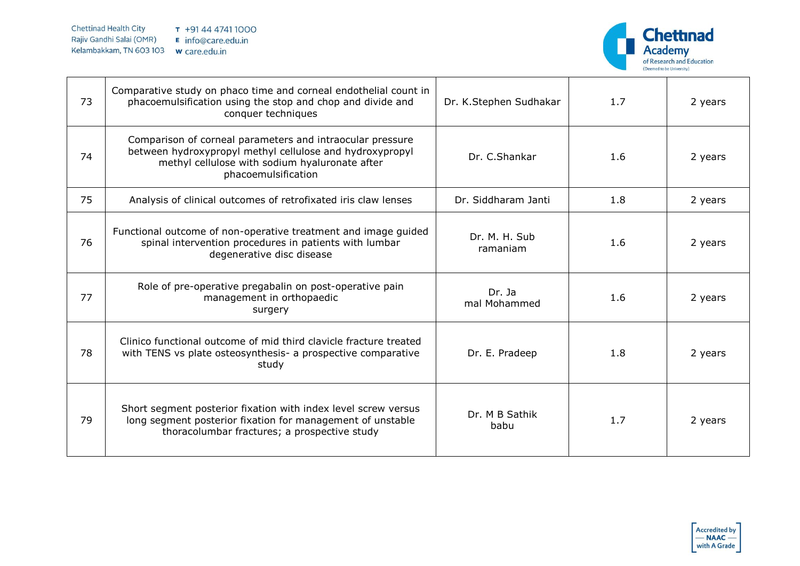

| 73 | Comparative study on phaco time and corneal endothelial count in<br>phacoemulsification using the stop and chop and divide and<br>conquer techniques                                           | Dr. K.Stephen Sudhakar    | 1.7 | 2 years |
|----|------------------------------------------------------------------------------------------------------------------------------------------------------------------------------------------------|---------------------------|-----|---------|
| 74 | Comparison of corneal parameters and intraocular pressure<br>between hydroxypropyl methyl cellulose and hydroxypropyl<br>methyl cellulose with sodium hyaluronate after<br>phacoemulsification | Dr. C.Shankar             | 1.6 | 2 years |
| 75 | Analysis of clinical outcomes of retrofixated iris claw lenses                                                                                                                                 | Dr. Siddharam Janti       | 1.8 | 2 years |
| 76 | Functional outcome of non-operative treatment and image guided<br>spinal intervention procedures in patients with lumbar<br>degenerative disc disease                                          | Dr. M. H. Sub<br>ramaniam | 1.6 | 2 years |
| 77 | Role of pre-operative pregabalin on post-operative pain<br>management in orthopaedic<br>surgery                                                                                                | Dr. Ja<br>mal Mohammed    | 1.6 | 2 years |
| 78 | Clinico functional outcome of mid third clavicle fracture treated<br>with TENS vs plate osteosynthesis- a prospective comparative<br>study                                                     | Dr. E. Pradeep            | 1.8 | 2 years |
| 79 | Short segment posterior fixation with index level screw versus<br>long segment posterior fixation for management of unstable<br>thoracolumbar fractures; a prospective study                   | Dr. M B Sathik<br>babu    | 1.7 | 2 years |

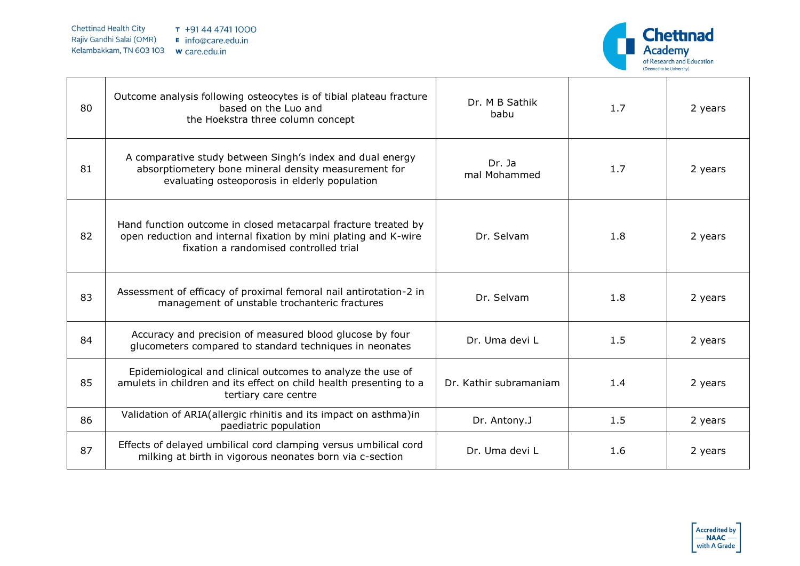

| 80 | Outcome analysis following osteocytes is of tibial plateau fracture<br>based on the Luo and<br>the Hoekstra three column concept                                            | Dr. M B Sathik<br>babu | 1.7 | 2 years |
|----|-----------------------------------------------------------------------------------------------------------------------------------------------------------------------------|------------------------|-----|---------|
| 81 | A comparative study between Singh's index and dual energy<br>absorptiometery bone mineral density measurement for<br>evaluating osteoporosis in elderly population          | Dr. Ja<br>mal Mohammed | 1.7 | 2 years |
| 82 | Hand function outcome in closed metacarpal fracture treated by<br>open reduction and internal fixation by mini plating and K-wire<br>fixation a randomised controlled trial | Dr. Selvam             | 1.8 | 2 years |
| 83 | Assessment of efficacy of proximal femoral nail antirotation-2 in<br>management of unstable trochanteric fractures                                                          | Dr. Selvam             | 1.8 | 2 years |
| 84 | Accuracy and precision of measured blood glucose by four<br>glucometers compared to standard techniques in neonates                                                         | Dr. Uma devi L         | 1.5 | 2 years |
| 85 | Epidemiological and clinical outcomes to analyze the use of<br>amulets in children and its effect on child health presenting to a<br>tertiary care centre                   | Dr. Kathir subramaniam | 1.4 | 2 years |
| 86 | Validation of ARIA(allergic rhinitis and its impact on asthma)in<br>paediatric population                                                                                   | Dr. Antony.J           | 1.5 | 2 years |
| 87 | Effects of delayed umbilical cord clamping versus umbilical cord<br>milking at birth in vigorous neonates born via c-section                                                | Dr. Uma devi L         | 1.6 | 2 years |

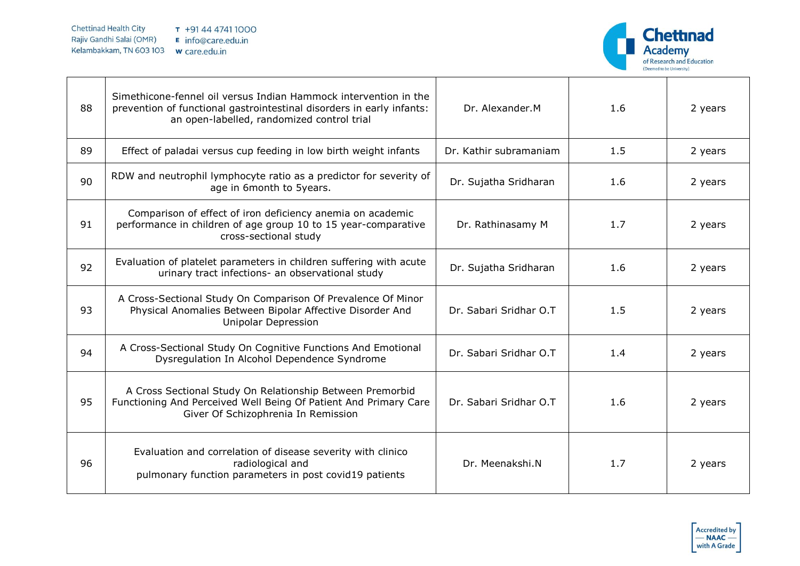

| 88 | Simethicone-fennel oil versus Indian Hammock intervention in the<br>prevention of functional gastrointestinal disorders in early infants:<br>an open-labelled, randomized control trial | Dr. Alexander.M        | 1.6 | 2 years |
|----|-----------------------------------------------------------------------------------------------------------------------------------------------------------------------------------------|------------------------|-----|---------|
| 89 | Effect of paladai versus cup feeding in low birth weight infants                                                                                                                        | Dr. Kathir subramaniam | 1.5 | 2 years |
| 90 | RDW and neutrophil lymphocyte ratio as a predictor for severity of<br>age in 6month to 5years.                                                                                          | Dr. Sujatha Sridharan  | 1.6 | 2 years |
| 91 | Comparison of effect of iron deficiency anemia on academic<br>performance in children of age group 10 to 15 year-comparative<br>cross-sectional study                                   | Dr. Rathinasamy M      | 1.7 | 2 years |
| 92 | Evaluation of platelet parameters in children suffering with acute<br>urinary tract infections- an observational study                                                                  | Dr. Sujatha Sridharan  | 1.6 | 2 years |
| 93 | A Cross-Sectional Study On Comparison Of Prevalence Of Minor<br>Physical Anomalies Between Bipolar Affective Disorder And<br><b>Unipolar Depression</b>                                 | Dr. Sabari Sridhar O.T | 1.5 | 2 years |
| 94 | A Cross-Sectional Study On Cognitive Functions And Emotional<br>Dysregulation In Alcohol Dependence Syndrome                                                                            | Dr. Sabari Sridhar O.T | 1.4 | 2 years |
| 95 | A Cross Sectional Study On Relationship Between Premorbid<br>Functioning And Perceived Well Being Of Patient And Primary Care<br>Giver Of Schizophrenia In Remission                    | Dr. Sabari Sridhar O.T | 1.6 | 2 years |
| 96 | Evaluation and correlation of disease severity with clinico<br>radiological and<br>pulmonary function parameters in post covid19 patients                                               | Dr. Meenakshi.N        | 1.7 | 2 years |

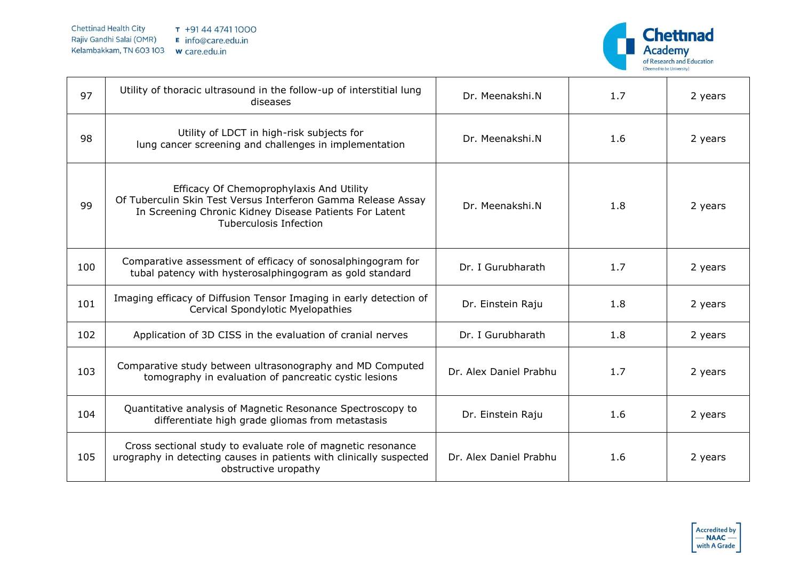

| 97  | Utility of thoracic ultrasound in the follow-up of interstitial lung<br>diseases                                                                                                                      | Dr. Meenakshi.N        | 1.7 | 2 years |
|-----|-------------------------------------------------------------------------------------------------------------------------------------------------------------------------------------------------------|------------------------|-----|---------|
| 98  | Utility of LDCT in high-risk subjects for<br>lung cancer screening and challenges in implementation                                                                                                   | Dr. Meenakshi.N        | 1.6 | 2 years |
| 99  | Efficacy Of Chemoprophylaxis And Utility<br>Of Tuberculin Skin Test Versus Interferon Gamma Release Assay<br>In Screening Chronic Kidney Disease Patients For Latent<br><b>Tuberculosis Infection</b> | Dr. Meenakshi.N        | 1.8 | 2 years |
| 100 | Comparative assessment of efficacy of sonosalphingogram for<br>tubal patency with hysterosalphingogram as gold standard                                                                               | Dr. I Gurubharath      | 1.7 | 2 years |
| 101 | Imaging efficacy of Diffusion Tensor Imaging in early detection of<br>Cervical Spondylotic Myelopathies                                                                                               | Dr. Einstein Raju      | 1.8 | 2 years |
| 102 | Application of 3D CISS in the evaluation of cranial nerves                                                                                                                                            | Dr. I Gurubharath      | 1.8 | 2 years |
| 103 | Comparative study between ultrasonography and MD Computed<br>tomography in evaluation of pancreatic cystic lesions                                                                                    | Dr. Alex Daniel Prabhu | 1.7 | 2 years |
| 104 | Quantitative analysis of Magnetic Resonance Spectroscopy to<br>differentiate high grade gliomas from metastasis                                                                                       | Dr. Einstein Raju      | 1.6 | 2 years |
| 105 | Cross sectional study to evaluate role of magnetic resonance<br>urography in detecting causes in patients with clinically suspected<br>obstructive uropathy                                           | Dr. Alex Daniel Prabhu | 1.6 | 2 years |